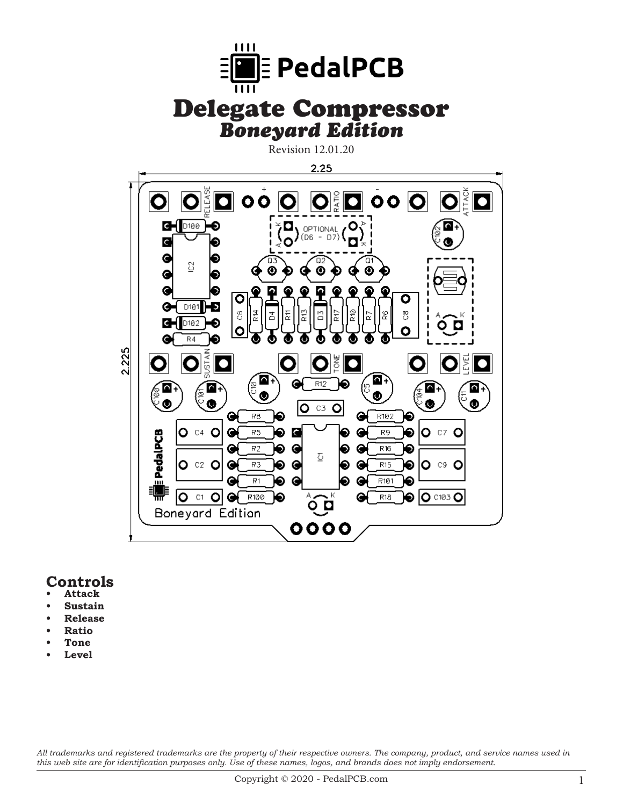

# **Controls**

- **• Attack**
- **Sustain**
- **• Release**
- **• Ratio**
- **• Tone**
- Level

*All trademarks and registered trademarks are the property of their respective owners. The company, product, and service names used in this web site are for identification purposes only. Use of these names, logos, and brands does not imply endorsement.*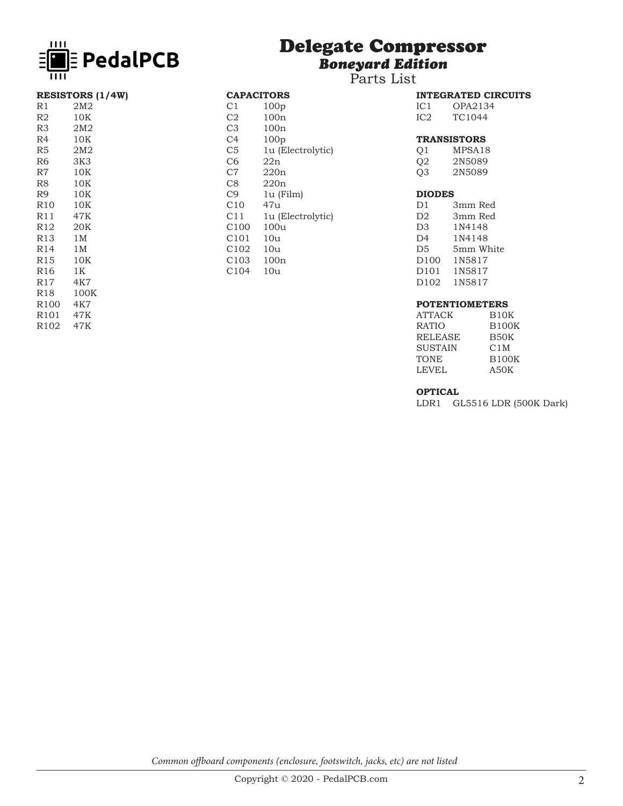

# Delegate Compressor *Boneyard Edition*

Parts List

CAPACITORS<br>C1 100p C1 100p<br>C2 100n C<sub>2</sub> 100n<br>C<sub>3</sub> 100n C3 100n<br>C4 100p C4 100p<br>C5 1u (E

C10 47u<br>C11 1u (I

C100 100u C101 10u C102 10u C103 100n C104 10u

C5 1u (Electrolytic)<br>C6 22n  $22n$ C7 220n C8 220n<br>C9 1u (F

1u (Film)

1u (Electrolytic)

|                 | <b>INTEGRATED CIRCUITS</b> |
|-----------------|----------------------------|
| IC <sub>1</sub> | OPA2134                    |
| IC <sub>2</sub> | TC1044                     |

## **TRANSISTORS**

| O1 | MPSA18 |
|----|--------|
| O2 | 2N5089 |
| Q3 | 2N5089 |
|    |        |

#### **DIODES**

| D1               | 3mm Red   |
|------------------|-----------|
| D <sub>2</sub>   | 3mm Red   |
| D <sub>3</sub>   | 1N4148    |
| D <sub>4</sub>   | 1N4148    |
| D5               | 5mm White |
| D <sub>100</sub> | 1N5817    |
| D <sub>101</sub> | 1N5817    |
| D <sub>102</sub> | 1N5817    |
|                  |           |

## **POTENTIOMETERS**

| ATTACK         | B10K             |
|----------------|------------------|
| <b>RATIO</b>   | <b>B100K</b>     |
| <b>RELEASE</b> | B50K             |
| <b>SUSTAIN</b> | C <sub>1</sub> M |
| TONE           | <b>B100K</b>     |
| LEVEL          | A50K             |
|                |                  |

#### **OPTICAL**

LDR1 GL5516 LDR (500K Dark)

| R1       | 2M <sub>2</sub> |  |
|----------|-----------------|--|
| R2       | 10K             |  |
| R3       | 2M <sub>2</sub> |  |
| R4       | 10K             |  |
| R5       | 2M2             |  |
| R6       | 3K3             |  |
| R7       | 10K             |  |
| R8       | 10K             |  |
| R9       | 10K             |  |
| R10      | 10K             |  |
| R11      | 47K             |  |
| R12      | 20K             |  |
| R13      | $1\,\mathrm{M}$ |  |
| R14      | $1\,\mathrm{M}$ |  |
| R15      | 10K             |  |
| R16      | 1K              |  |
| R17      | 4K7             |  |
| R18      | 100K            |  |
| R100 4K7 |                 |  |
| R101 47K |                 |  |
| R102     | 47K             |  |
|          |                 |  |

**RESISTORS (1/4W)**

*Common offboard components (enclosure, footswitch, jacks, etc) are not listed*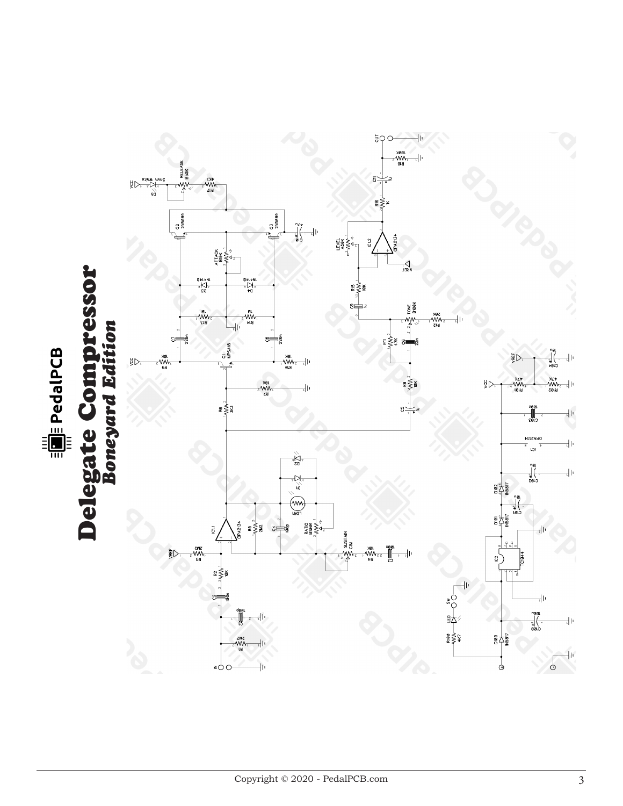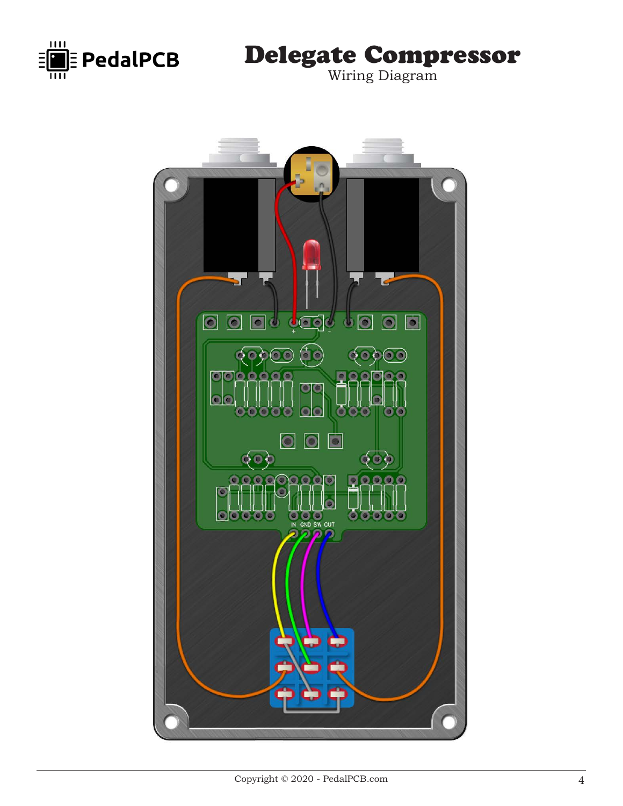

Delegate Compressor

Wiring Diagram